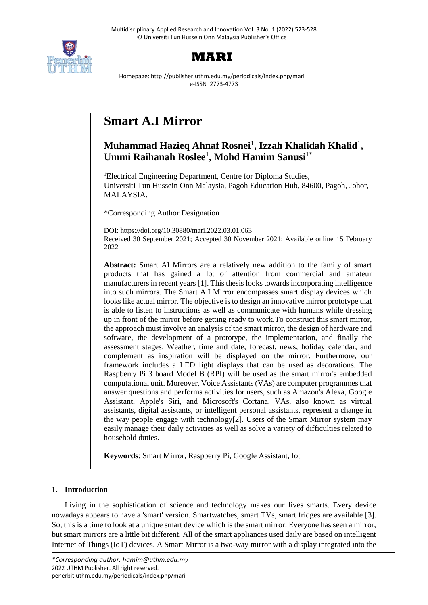



Homepage: http://publisher.uthm.edu.my/periodicals/index.php/mari e-ISSN :2773-4773

# **Smart A.I Mirror**

# **Muhammad Hazieq Ahnaf Rosnei**<sup>1</sup> **, Izzah Khalidah Khalid**<sup>1</sup> **, Ummi Raihanah Roslee**<sup>1</sup> **, Mohd Hamim Sanusi**1\*

<sup>1</sup>Electrical Engineering Department, Centre for Diploma Studies, Universiti Tun Hussein Onn Malaysia, Pagoh Education Hub, 84600, Pagoh, Johor, MALAYSIA.

\*Corresponding Author Designation

DOI: https://doi.org/10.30880/mari.2022.03.01.063 Received 30 September 2021; Accepted 30 November 2021; Available online 15 February 2022

**Abstract:** Smart AI Mirrors are a relatively new addition to the family of smart products that has gained a lot of attention from commercial and amateur manufacturers in recent years [1]. This thesis looks towards incorporating intelligence into such mirrors. The Smart A.I Mirror encompasses smart display devices which looks like actual mirror. The objective is to design an innovative mirror prototype that is able to listen to instructions as well as communicate with humans while dressing up in front of the mirror before getting ready to work.To construct this smart mirror, the approach must involve an analysis of the smart mirror, the design of hardware and software, the development of a prototype, the implementation, and finally the assessment stages. Weather, time and date, forecast, news, holiday calendar, and complement as inspiration will be displayed on the mirror. Furthermore, our framework includes a LED light displays that can be used as decorations. The Raspberry Pi 3 board Model B (RPI) will be used as the smart mirror's embedded computational unit. Moreover, Voice Assistants (VAs) are computer programmes that answer questions and performs activities for users, such as Amazon's Alexa, Google Assistant, Apple's Siri, and Microsoft's Cortana. VAs, also known as virtual assistants, digital assistants, or intelligent personal assistants, represent a change in the way people engage with technology[2]. Users of the Smart Mirror system may easily manage their daily activities as well as solve a variety of difficulties related to household duties.

**Keywords**: Smart Mirror, Raspberry Pi, Google Assistant, Iot

# **1. Introduction**

Living in the sophistication of science and technology makes our lives smarts. Every device nowadays appears to have a 'smart' version. Smartwatches, smart TVs, smart fridges are available [3]. So, this is a time to look at a unique smart device which is the smart mirror. Everyone has seen a mirror, but smart mirrors are a little bit different. All of the smart appliances used daily are based on intelligent Internet of Things (IoT) devices. A Smart Mirror is a two-way mirror with a display integrated into the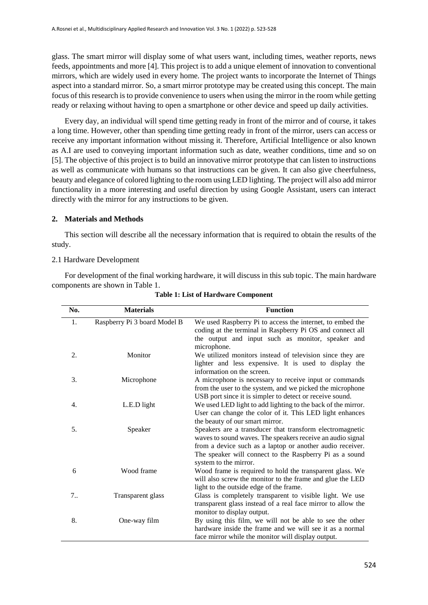glass. The smart mirror will display some of what users want, including times, weather reports, news feeds, appointments and more [4]. This project is to add a unique element of innovation to conventional mirrors, which are widely used in every home. The project wants to incorporate the Internet of Things aspect into a standard mirror. So, a smart mirror prototype may be created using this concept. The main focus of this research is to provide convenience to users when using the mirror in the room while getting ready or relaxing without having to open a smartphone or other device and speed up daily activities.

Every day, an individual will spend time getting ready in front of the mirror and of course, it takes a long time. However, other than spending time getting ready in front of the mirror, users can access or receive any important information without missing it. Therefore, Artificial Intelligence or also known as A.I are used to conveying important information such as date, weather conditions, time and so on [5]. The objective of this project is to build an innovative mirror prototype that can listen to instructions as well as communicate with humans so that instructions can be given. It can also give cheerfulness, beauty and elegance of colored lighting to the room using LED lighting. The project will also add mirror functionality in a more interesting and useful direction by using Google Assistant, users can interact directly with the mirror for any instructions to be given.

# **2. Materials and Methods**

This section will describe all the necessary information that is required to obtain the results of the study.

# 2.1 Hardware Development

For development of the final working hardware, it will discuss in this sub topic. The main hardware components are shown in Table 1.

| No. | <b>Materials</b>             | <b>Function</b>                                              |  |  |  |  |
|-----|------------------------------|--------------------------------------------------------------|--|--|--|--|
| 1.  | Raspberry Pi 3 board Model B | We used Raspberry Pi to access the internet, to embed the    |  |  |  |  |
|     |                              | coding at the terminal in Raspberry Pi OS and connect all    |  |  |  |  |
|     |                              | the output and input such as monitor, speaker and            |  |  |  |  |
|     |                              | microphone.                                                  |  |  |  |  |
| 2.  | Monitor                      | We utilized monitors instead of television since they are    |  |  |  |  |
|     |                              | lighter and less expensive. It is used to display the        |  |  |  |  |
|     |                              | information on the screen.                                   |  |  |  |  |
| 3.  | Microphone                   | A microphone is necessary to receive input or commands       |  |  |  |  |
|     |                              | from the user to the system, and we picked the microphone    |  |  |  |  |
|     |                              | USB port since it is simpler to detect or receive sound.     |  |  |  |  |
| 4.  | L.E.D light                  | We used LED light to add lighting to the back of the mirror. |  |  |  |  |
|     |                              | User can change the color of it. This LED light enhances     |  |  |  |  |
|     |                              | the beauty of our smart mirror.                              |  |  |  |  |
| 5.  | Speaker                      | Speakers are a transducer that transform electromagnetic     |  |  |  |  |
|     |                              | waves to sound waves. The speakers receive an audio signal   |  |  |  |  |
|     |                              | from a device such as a laptop or another audio receiver.    |  |  |  |  |
|     |                              | The speaker will connect to the Raspberry Pi as a sound      |  |  |  |  |
|     |                              | system to the mirror.                                        |  |  |  |  |
| 6   | Wood frame                   | Wood frame is required to hold the transparent glass. We     |  |  |  |  |
|     |                              | will also screw the monitor to the frame and glue the LED    |  |  |  |  |
|     |                              | light to the outside edge of the frame.                      |  |  |  |  |
| 7.  | Transparent glass            | Glass is completely transparent to visible light. We use     |  |  |  |  |
|     |                              | transparent glass instead of a real face mirror to allow the |  |  |  |  |
|     |                              | monitor to display output.                                   |  |  |  |  |
| 8.  | One-way film                 | By using this film, we will not be able to see the other     |  |  |  |  |
|     |                              | hardware inside the frame and we will see it as a normal     |  |  |  |  |
|     |                              | face mirror while the monitor will display output.           |  |  |  |  |

**Table 1: List of Hardware Component**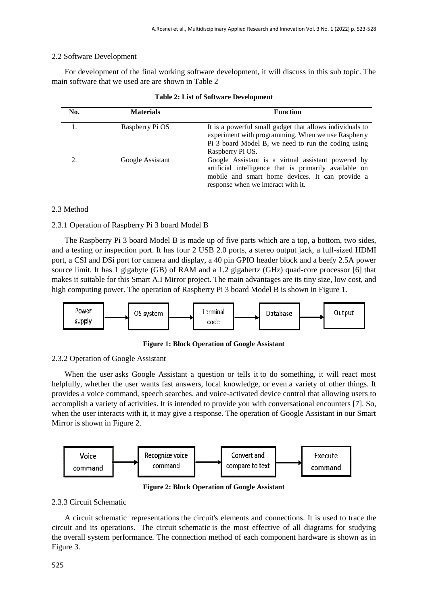# 2.2 Software Development

For development of the final working software development, it will discuss in this sub topic. The main software that we used are are shown in Table 2

| No. | <b>Materials</b> | <b>Function</b>                                                                                                                                                                                       |
|-----|------------------|-------------------------------------------------------------------------------------------------------------------------------------------------------------------------------------------------------|
|     | Raspberry Pi OS  | It is a powerful small gadget that allows individuals to<br>experiment with programming. When we use Raspberry<br>Pi 3 board Model B, we need to run the coding using<br>Raspberry Pi OS.             |
| 2.  | Google Assistant | Google Assistant is a virtual assistant powered by<br>artificial intelligence that is primarily available on<br>mobile and smart home devices. It can provide a<br>response when we interact with it. |

# 2.3 Method

### 2.3.1 Operation of Raspberry Pi 3 board Model B

The Raspberry Pi 3 board Model B is made up of five parts which are a top, a bottom, two sides, and a testing or inspection port. It has four 2 USB 2.0 ports, a stereo output jack, a full-sized HDMI port, a CSI and DSi port for camera and display, a 40 pin GPIO header block and a beefy 2.5A power source limit. It has 1 gigabyte (GB) of RAM and a 1.2 gigahertz (GHz) quad-core processor [6] that makes it suitable for this Smart A.I Mirror project. The main advantages are its tiny size, low cost, and high computing power. The operation of Raspberry Pi 3 board Model B is shown in Figure 1.



**Figure 1: Block Operation of Google Assistant**

#### 2.3.2 Operation of Google Assistant

When the user asks Google Assistant a question or tells it to do something, it will react most helpfully, whether the user wants fast answers, local knowledge, or even a variety of other things. It provides a voice command, speech searches, and voice-activated device control that allowing users to accomplish a variety of activities. It is intended to provide you with conversational encounters [7]. So, when the user interacts with it, it may give a response. The operation of Google Assistant in our Smart Mirror is shown in Figure 2.



**Figure 2: Block Operation of Google Assistant**

### 2.3.3 Circuit Schematic

A circuit schematic representations the circuit's elements and connections. It is used to trace the circuit and its operations. The circuit schematic is the most effective of all diagrams for studying the overall system performance. The connection method of each component hardware is shown as in Figure 3.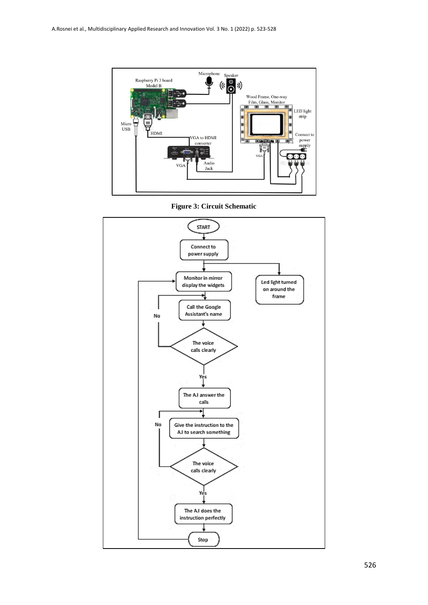

**Figure 3: Circuit Schematic**

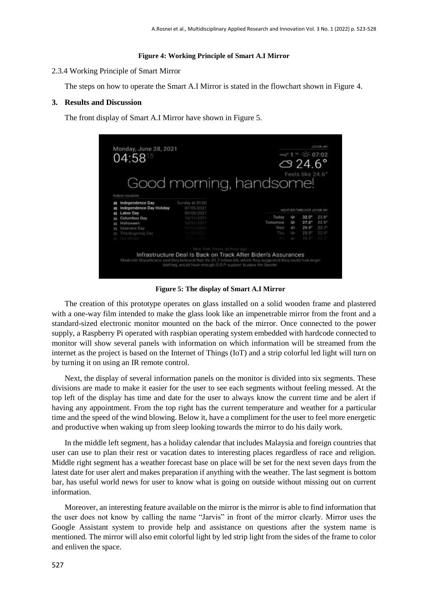#### **Figure 4: Working Principle of Smart A.I Mirror**

#### 2.3.4 Working Principle of Smart Mirror

The steps on how to operate the Smart A.I Mirror is stated in the flowchart shown in Figure 4.

#### **3. Results and Discussion**

The front display of Smart A.I Mirror have shown in Figure 5.

| Monday, June 28, 2021<br>04:5815 |                                            |                                                                                                                                                                                  | JOHNSON, MAY<br>$= 1$ $\frac{1}{2}$ $-25$ 07:02<br>$\circ$ 24.6° |                            |                     |                      |
|----------------------------------|--------------------------------------------|----------------------------------------------------------------------------------------------------------------------------------------------------------------------------------|------------------------------------------------------------------|----------------------------|---------------------|----------------------|
| m                                | <b>PUBLIC HOLIDAYS</b><br>Independence Day | Good morning, handsome!<br>Sunday at 00:00<br>07/05/2021                                                                                                                         |                                                                  |                            | Feels like 24.6°    |                      |
|                                  | Independence Day Holiday<br>Labor Day      | 09/06/2021                                                                                                                                                                       |                                                                  | WEATHER FORECAST JOHOR, MY |                     |                      |
|                                  | Columbus Day                               | 10/11/2021                                                                                                                                                                       | Today                                                            | ¢                          | $32.0^*$            | 23.8''               |
|                                  | Halloween                                  | 10/31/2021                                                                                                                                                                       | Tomorrow                                                         | Ò                          | $27.6^*$            | 22.9''               |
|                                  | Veterano Day                               | 11/11/2021                                                                                                                                                                       | Wed                                                              | b                          | $29.9*$             | $22.7^{\circ}$       |
|                                  | in Thankogiving Day                        |                                                                                                                                                                                  | This                                                             | ò                          | $25.5*$             | $-22.9$ <sup>*</sup> |
|                                  | es Christmas                               |                                                                                                                                                                                  |                                                                  | ó                          | <b>TANK CONTROL</b> |                      |
|                                  |                                            | New York Times, an heat ago                                                                                                                                                      |                                                                  |                            |                     |                      |
|                                  |                                            | Infrastructure Deal Is Back on Track After Biden's Assurances<br>Moderate Republicans said they believed that the \$1.2 (nillion hill, which they suggested they could now begin |                                                                  |                            |                     |                      |

**Figure 5: The display of Smart A.I Mirror**

The creation of this prototype operates on glass installed on a solid wooden frame and plastered with a one-way film intended to make the glass look like an impenetrable mirror from the front and a standard-sized electronic monitor mounted on the back of the mirror. Once connected to the power supply, a Raspberry Pi operated with raspbian operating system embedded with hardcode connected to monitor will show several panels with information on which information will be streamed from the internet as the project is based on the Internet of Things (IoT) and a strip colorful led light will turn on by turning it on using an IR remote control.

Next, the display of several information panels on the monitor is divided into six segments. These divisions are made to make it easier for the user to see each segments without feeling messed. At the top left of the display has time and date for the user to always know the current time and be alert if having any appointment. From the top right has the current temperature and weather for a particular time and the speed of the wind blowing. Below it, have a compliment for the user to feel more energetic and productive when waking up from sleep looking towards the mirror to do his daily work.

In the middle left segment, has a holiday calendar that includes Malaysia and foreign countries that user can use to plan their rest or vacation dates to interesting places regardless of race and religion. Middle right segment has a weather forecast base on place will be set for the next seven days from the latest date for user alert and makes preparation if anything with the weather. The last segment is bottom bar, has useful world news for user to know what is going on outside without missing out on current information.

Moreover, an interesting feature available on the mirror is the mirror is able to find information that the user does not know by calling the name "Jarvis" in front of the mirror clearly. Mirror uses the Google Assistant system to provide help and assistance on questions after the system name is mentioned. The mirror will also emit colorful light by led strip light from the sides of the frame to color and enliven the space.